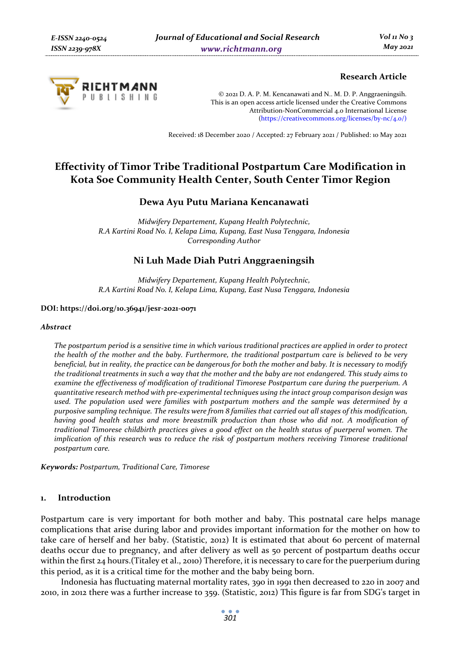

# **Research Article**

© 2021 D. A. P. M. Kencanawati and N.. M. D. P. Anggraeningsih. This is an open access article licensed under the Creative Commons Attribution-NonCommercial 4.0 International License (https://creativecommons.org/licenses/by-nc/4.0/)

Received: 18 December 2020 / Accepted: 27 February 2021 / Published: 10 May 2021

# **Effectivity of Timor Tribe Traditional Postpartum Care Modification in Kota Soe Community Health Center, South Center Timor Region**

# **Dewa Ayu Putu Mariana Kencanawati**

*Midwifery Departement, Kupang Health Polytechnic, R.A Kartini Road No. I, Kelapa Lima, Kupang, East Nusa Tenggara, Indonesia Corresponding Author* 

# **Ni Luh Made Diah Putri Anggraeningsih**

*Midwifery Departement, Kupang Health Polytechnic, R.A Kartini Road No. I, Kelapa Lima, Kupang, East Nusa Tenggara, Indonesia* 

#### **DOI: https://doi.org/10.36941/jesr-2021-0071**

#### *Abstract*

*The postpartum period is a sensitive time in which various traditional practices are applied in order to protect the health of the mother and the baby. Furthermore, the traditional postpartum care is believed to be very beneficial, but in reality, the practice can be dangerous for both the mother and baby. It is necessary to modify the traditional treatments in such a way that the mother and the baby are not endangered. This study aims to examine the effectiveness of modification of traditional Timorese Postpartum care during the puerperium. A quantitative research method with pre-experimental techniques using the intact group comparison design was used. The population used were families with postpartum mothers and the sample was determined by a purposive sampling technique. The results were from 8 families that carried out all stages of this modification, having good health status and more breastmilk production than those who did not. A modification of traditional Timorese childbirth practices gives a good effect on the health status of puerperal women. The implication of this research was to reduce the risk of postpartum mothers receiving Timorese traditional postpartum care.* 

*Keywords: Postpartum, Traditional Care, Timorese* 

#### **1. Introduction**

Postpartum care is very important for both mother and baby. This postnatal care helps manage complications that arise during labor and provides important information for the mother on how to take care of herself and her baby. (Statistic, 2012) It is estimated that about 60 percent of maternal deaths occur due to pregnancy, and after delivery as well as 50 percent of postpartum deaths occur within the first 24 hours.(Titaley et al., 2010) Therefore, it is necessary to care for the puerperium during this period, as it is a critical time for the mother and the baby being born.

Indonesia has fluctuating maternal mortality rates, 390 in 1991 then decreased to 220 in 2007 and 2010, in 2012 there was a further increase to 359. (Statistic, 2012) This figure is far from SDG's target in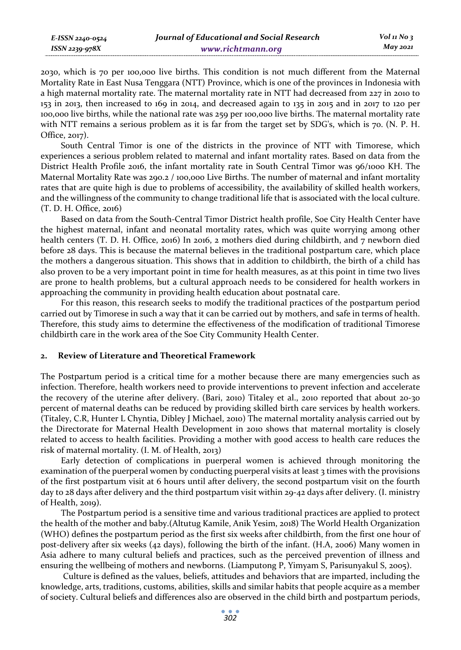2030, which is 70 per 100,000 live births. This condition is not much different from the Maternal Mortality Rate in East Nusa Tenggara (NTT) Province, which is one of the provinces in Indonesia with a high maternal mortality rate. The maternal mortality rate in NTT had decreased from 227 in 2010 to 153 in 2013, then increased to 169 in 2014, and decreased again to 135 in 2015 and in 2017 to 120 per 100,000 live births, while the national rate was 259 per 100,000 live births. The maternal mortality rate with NTT remains a serious problem as it is far from the target set by SDG's, which is 70. (N. P. H. Office, 2017).

South Central Timor is one of the districts in the province of NTT with Timorese, which experiences a serious problem related to maternal and infant mortality rates. Based on data from the District Health Profile 2016, the infant mortality rate in South Central Timor was 96/1000 KH. The Maternal Mortality Rate was 290.2 / 100,000 Live Births. The number of maternal and infant mortality rates that are quite high is due to problems of accessibility, the availability of skilled health workers, and the willingness of the community to change traditional life that is associated with the local culture. (T. D. H. Office, 2016)

Based on data from the South-Central Timor District health profile, Soe City Health Center have the highest maternal, infant and neonatal mortality rates, which was quite worrying among other health centers (T. D. H. Office, 2016) In 2016, 2 mothers died during childbirth, and 7 newborn died before 28 days. This is because the maternal believes in the traditional postpartum care, which place the mothers a dangerous situation. This shows that in addition to childbirth, the birth of a child has also proven to be a very important point in time for health measures, as at this point in time two lives are prone to health problems, but a cultural approach needs to be considered for health workers in approaching the community in providing health education about postnatal care.

For this reason, this research seeks to modify the traditional practices of the postpartum period carried out by Timorese in such a way that it can be carried out by mothers, and safe in terms of health. Therefore, this study aims to determine the effectiveness of the modification of traditional Timorese childbirth care in the work area of the Soe City Community Health Center.

#### **2. Review of Literature and Theoretical Framework**

The Postpartum period is a critical time for a mother because there are many emergencies such as infection. Therefore, health workers need to provide interventions to prevent infection and accelerate the recovery of the uterine after delivery. (Bari, 2010) Titaley et al., 2010 reported that about 20-30 percent of maternal deaths can be reduced by providing skilled birth care services by health workers. (Titaley, C.R, Hunter L Chyntia, Dibley J Michael, 2010) The maternal mortality analysis carried out by the Directorate for Maternal Health Development in 2010 shows that maternal mortality is closely related to access to health facilities. Providing a mother with good access to health care reduces the risk of maternal mortality. (I. M. of Health, 2013)

Early detection of complications in puerperal women is achieved through monitoring the examination of the puerperal women by conducting puerperal visits at least 3 times with the provisions of the first postpartum visit at 6 hours until after delivery, the second postpartum visit on the fourth day to 28 days after delivery and the third postpartum visit within 29-42 days after delivery. (I. ministry of Health, 2019).

The Postpartum period is a sensitive time and various traditional practices are applied to protect the health of the mother and baby.(Altutug Kamile, Anik Yesim, 2018) The World Health Organization (WHO) defines the postpartum period as the first six weeks after childbirth, from the first one hour of post-delivery after six weeks (42 days), following the birth of the infant. (H.A, 2006) Many women in Asia adhere to many cultural beliefs and practices, such as the perceived prevention of illness and ensuring the wellbeing of mothers and newborns. (Liamputong P, Yimyam S, Parisunyakul S, 2005).

 Culture is defined as the values, beliefs, attitudes and behaviors that are imparted, including the knowledge, arts, traditions, customs, abilities, skills and similar habits that people acquire as a member of society. Cultural beliefs and differences also are observed in the child birth and postpartum periods,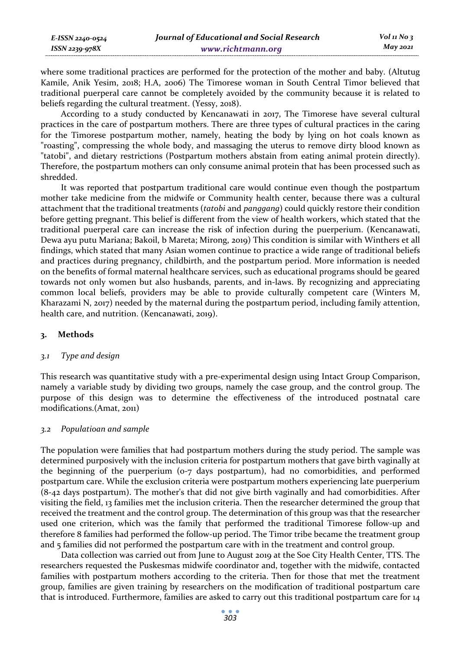| E-ISSN 2240-0524 | Journal of Educational and Social Research | $Vol_1N_0$ 3 |
|------------------|--------------------------------------------|--------------|
| ISSN 2239-978X   | www.richtmann.org                          | May 2021     |

where some traditional practices are performed for the protection of the mother and baby. (Altutug Kamile, Anik Yesim, 2018; H.A, 2006) The Timorese woman in South Central Timor believed that traditional puerperal care cannot be completely avoided by the community because it is related to beliefs regarding the cultural treatment. (Yessy, 2018).

According to a study conducted by Kencanawati in 2017, The Timorese have several cultural practices in the care of postpartum mothers. There are three types of cultural practices in the caring for the Timorese postpartum mother, namely, heating the body by lying on hot coals known as "roasting", compressing the whole body, and massaging the uterus to remove dirty blood known as "tatobi", and dietary restrictions (Postpartum mothers abstain from eating animal protein directly). Therefore, the postpartum mothers can only consume animal protein that has been processed such as shredded.

It was reported that postpartum traditional care would continue even though the postpartum mother take medicine from the midwife or Community health center, because there was a cultural attachment that the traditional treatments (*tatobi* and *panggang*) could quickly restore their condition before getting pregnant. This belief is different from the view of health workers, which stated that the traditional puerperal care can increase the risk of infection during the puerperium. (Kencanawati, Dewa ayu putu Mariana; Bakoil, b Mareta; Mirong, 2019) This condition is similar with Winthers et all findings, which stated that many Asian women continue to practice a wide range of traditional beliefs and practices during pregnancy, childbirth, and the postpartum period. More information is needed on the benefits of formal maternal healthcare services, such as educational programs should be geared towards not only women but also husbands, parents, and in-laws. By recognizing and appreciating common local beliefs, providers may be able to provide culturally competent care (Winters M, Kharazami N, 2017) needed by the maternal during the postpartum period, including family attention, health care, and nutrition. (Kencanawati, 2019).

### **3. Methods**

#### *3.1 Type and design*

This research was quantitative study with a pre-experimental design using Intact Group Comparison, namely a variable study by dividing two groups, namely the case group, and the control group. The purpose of this design was to determine the effectiveness of the introduced postnatal care modifications.(Amat, 2011)

#### *3.2 Populatioan and sample*

The population were families that had postpartum mothers during the study period. The sample was determined purposively with the inclusion criteria for postpartum mothers that gave birth vaginally at the beginning of the puerperium (0-7 days postpartum), had no comorbidities, and performed postpartum care. While the exclusion criteria were postpartum mothers experiencing late puerperium (8-42 days postpartum). The mother's that did not give birth vaginally and had comorbidities. After visiting the field, 13 families met the inclusion criteria. Then the researcher determined the group that received the treatment and the control group. The determination of this group was that the researcher used one criterion, which was the family that performed the traditional Timorese follow-up and therefore 8 families had performed the follow-up period. The Timor tribe became the treatment group and 5 families did not performed the postpartum care with in the treatment and control group.

Data collection was carried out from June to August 2019 at the Soe City Health Center, TTS. The researchers requested the Puskesmas midwife coordinator and, together with the midwife, contacted families with postpartum mothers according to the criteria. Then for those that met the treatment group, families are given training by researchers on the modification of traditional postpartum care that is introduced. Furthermore, families are asked to carry out this traditional postpartum care for 14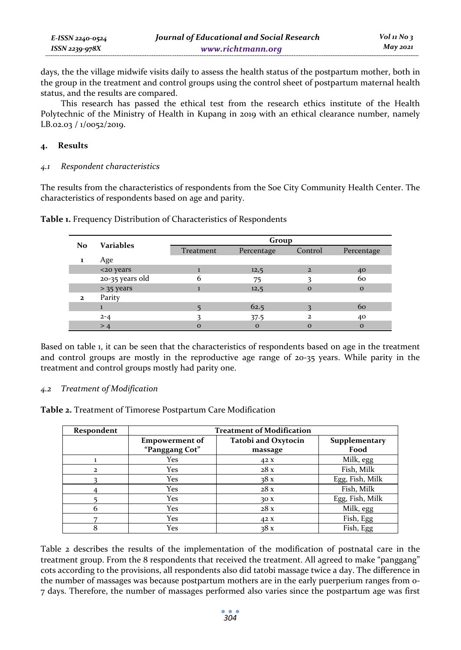| E-ISSN 2240-0524 | Journal of Educational and Social Research | $Vol_1N_0$ 3 |
|------------------|--------------------------------------------|--------------|
| ISSN 2239-978X   | www.richtmann.org                          | $May\,2021$  |

days, the the village midwife visits daily to assess the health status of the postpartum mother, both in the group in the treatment and control groups using the control sheet of postpartum maternal health status, and the results are compared.

This research has passed the ethical test from the research ethics institute of the Health Polytechnic of the Ministry of Health in Kupang in 2019 with an ethical clearance number, namely LB.02.03 / 1/0052/2019.

### **4. Results**

### *4.1 Respondent characteristics*

The results from the characteristics of respondents from the Soe City Community Health Center. The characteristics of respondents based on age and parity.

| No           | Variables       | Group     |            |                |              |
|--------------|-----------------|-----------|------------|----------------|--------------|
|              |                 | Treatment | Percentage | Control        | Percentage   |
| 1            | Age             |           |            |                |              |
|              | <20 years       |           | 12,5       | $\overline{2}$ | 40           |
|              | 20-35 years old | 6         | 75         |                | 60           |
|              | $> 35$ years    |           | 12,5       | $\Omega$       | $\mathbf{o}$ |
| $\mathbf{z}$ | Parity          |           |            |                |              |
|              |                 |           | 62.5       |                | 60           |
|              | $2 - 4$         |           | 37.5       | $\mathbf{z}$   | 40           |
|              | >4              | $\Omega$  | $\Omega$   | $\Omega$       | $\mathbf{o}$ |

**Table 1.** Frequency Distribution of Characteristics of Respondents

Based on table 1, it can be seen that the characteristics of respondents based on age in the treatment and control groups are mostly in the reproductive age range of 20-35 years. While parity in the treatment and control groups mostly had parity one.

### *4.2 Treatment of Modification*

**Table 2.** Treatment of Timorese Postpartum Care Modification

| Respondent | <b>Treatment of Modification</b> |                            |                 |  |
|------------|----------------------------------|----------------------------|-----------------|--|
|            | <b>Empowerment of</b>            | <b>Tatobi and Oxytocin</b> | Supplementary   |  |
|            | "Panggang Cot"                   | massage                    | Food            |  |
|            | Yes                              | 42 X                       | Milk, egg       |  |
| 2          | Yes                              | 28x                        | Fish, Milk      |  |
|            | Yes                              | 38x                        | Egg, Fish, Milk |  |
|            | Yes                              | 28x                        | Fish, Milk      |  |
|            | Yes                              | 30X                        | Egg, Fish, Milk |  |
|            | Yes                              | 28x                        | Milk, egg       |  |
|            | Yes                              | 42 X                       | Fish, Egg       |  |
| 8          | Yes                              | 38x                        | Fish, Egg       |  |

Table 2 describes the results of the implementation of the modification of postnatal care in the treatment group. From the 8 respondents that received the treatment. All agreed to make "panggang" cots according to the provisions, all respondents also did tatobi massage twice a day. The difference in the number of massages was because postpartum mothers are in the early puerperium ranges from 0- 7 days. Therefore, the number of massages performed also varies since the postpartum age was first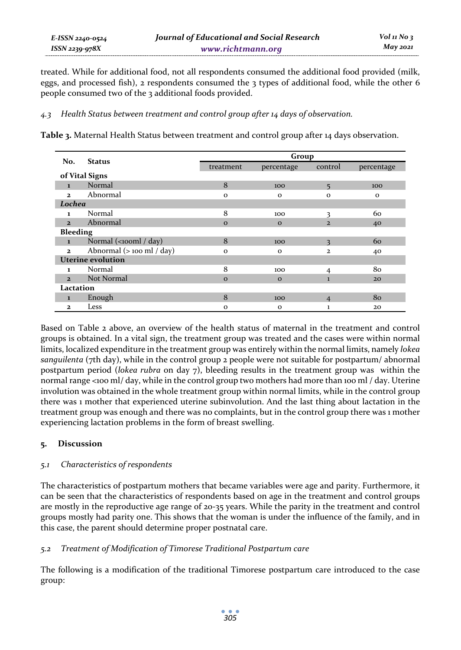treated. While for additional food, not all respondents consumed the additional food provided (milk, eggs, and processed fish), 2 respondents consumed the 3 types of additional food, while the other 6 people consumed two of the 3 additional foods provided.

### *4.3 Health Status between treatment and control group after 14 days of observation.*

**Table 3.** Maternal Health Status between treatment and control group after 14 days observation.

|                          | <b>Status</b>                  | Group        |              |                |              |
|--------------------------|--------------------------------|--------------|--------------|----------------|--------------|
| No.                      |                                | treatment    | percentage   | control        | percentage   |
|                          | of Vital Signs                 |              |              |                |              |
| $\mathbf{1}$             | Normal                         | 8            | 100          | 5              | 100          |
| $\mathbf{z}$             | Abnormal                       | $\mathbf{o}$ | $\mathbf{o}$ | $\mathbf{o}$   | $\mathbf{o}$ |
| Lochea                   |                                |              |              |                |              |
| 1                        | Normal                         | 8            | 100          | 3              | 60           |
| $\overline{2}$           | Abnormal                       | $\mathbf{o}$ | $\mathbf{o}$ | $\overline{2}$ | 40           |
| <b>Bleeding</b>          |                                |              |              |                |              |
| $\mathbf{1}$             | Normal (<100ml / day)          | 8            | 100          | 3              | 60           |
| $\mathbf{z}$             | Abnormal $($ > 100 ml $/$ day) | $\mathbf{o}$ | $\mathbf{o}$ | $\overline{2}$ | 40           |
| <b>Uterine evolution</b> |                                |              |              |                |              |
| 1                        | Normal                         | 8            | 100          | 4              | 80           |
| $\overline{2}$           | Not Normal                     | $\Omega$     | $\Omega$     | $\mathbf{1}$   | 20           |
| Lactation                |                                |              |              |                |              |
| $\mathbf{1}$             | Enough                         | 8            | 100          | $\overline{4}$ | 80           |
| $\mathbf{z}$             | Less                           | $\mathbf{o}$ | $\mathbf{o}$ | 1              | 20           |

Based on Table 2 above, an overview of the health status of maternal in the treatment and control groups is obtained. In a vital sign, the treatment group was treated and the cases were within normal limits, localized expenditure in the treatment group was entirely within the normal limits, namely *lokea sanguilenta* (7th day), while in the control group 2 people were not suitable for postpartum/ abnormal postpartum period (*lokea rubra* on day 7), bleeding results in the treatment group was within the normal range <100 ml/ day, while in the control group two mothers had more than 100 ml / day. Uterine involution was obtained in the whole treatment group within normal limits, while in the control group there was 1 mother that experienced uterine subinvolution. And the last thing about lactation in the treatment group was enough and there was no complaints, but in the control group there was 1 mother experiencing lactation problems in the form of breast swelling.

# **5. Discussion**

# *5.1 Characteristics of respondents*

The characteristics of postpartum mothers that became variables were age and parity. Furthermore, it can be seen that the characteristics of respondents based on age in the treatment and control groups are mostly in the reproductive age range of 20-35 years. While the parity in the treatment and control groups mostly had parity one. This shows that the woman is under the influence of the family, and in this case, the parent should determine proper postnatal care.

# *5.2 Treatment of Modification of Timorese Traditional Postpartum care*

The following is a modification of the traditional Timorese postpartum care introduced to the case group: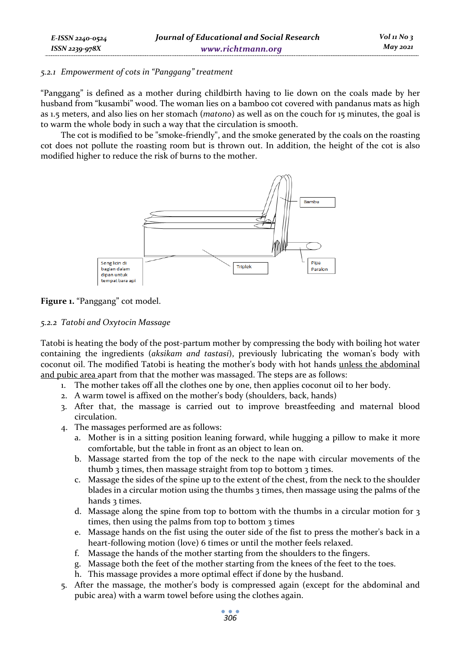### *5.2.1 Empowerment of cots in "Panggang" treatment*

"Panggang" is defined as a mother during childbirth having to lie down on the coals made by her husband from "kusambi" wood. The woman lies on a bamboo cot covered with pandanus mats as high as 1.5 meters, and also lies on her stomach (*matono*) as well as on the couch for 15 minutes, the goal is to warm the whole body in such a way that the circulation is smooth.

The cot is modified to be "smoke-friendly", and the smoke generated by the coals on the roasting cot does not pollute the roasting room but is thrown out. In addition, the height of the cot is also modified higher to reduce the risk of burns to the mother.



**Figure 1.** "Panggang" cot model.

### *5.2.2 Tatobi and Oxytocin Massage*

Tatobi is heating the body of the post-partum mother by compressing the body with boiling hot water containing the ingredients (*aksikam and tastasi*), previously lubricating the woman's body with coconut oil. The modified Tatobi is heating the mother's body with hot hands unless the abdominal and pubic area apart from that the mother was massaged. The steps are as follows:

- 1. The mother takes off all the clothes one by one, then applies coconut oil to her body.
- 2. A warm towel is affixed on the mother's body (shoulders, back, hands)
- 3. After that, the massage is carried out to improve breastfeeding and maternal blood circulation.
- 4. The massages performed are as follows:
	- a. Mother is in a sitting position leaning forward, while hugging a pillow to make it more comfortable, but the table in front as an object to lean on.
	- b. Massage started from the top of the neck to the nape with circular movements of the thumb 3 times, then massage straight from top to bottom 3 times.
	- c. Massage the sides of the spine up to the extent of the chest, from the neck to the shoulder blades in a circular motion using the thumbs 3 times, then massage using the palms of the hands 3 times.
	- d. Massage along the spine from top to bottom with the thumbs in a circular motion for 3 times, then using the palms from top to bottom 3 times
	- e. Massage hands on the fist using the outer side of the fist to press the mother's back in a heart-following motion (love) 6 times or until the mother feels relaxed.
	- f. Massage the hands of the mother starting from the shoulders to the fingers.
	- g. Massage both the feet of the mother starting from the knees of the feet to the toes.
	- h. This massage provides a more optimal effect if done by the husband.
- 5. After the massage, the mother's body is compressed again (except for the abdominal and pubic area) with a warm towel before using the clothes again.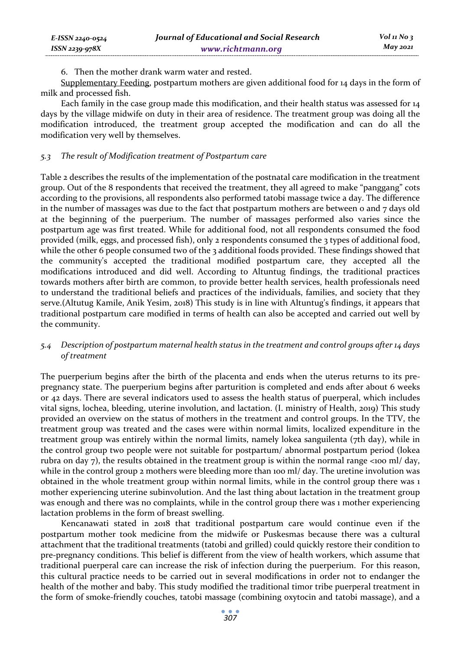6. Then the mother drank warm water and rested.

Supplementary Feeding, postpartum mothers are given additional food for 14 days in the form of milk and processed fish.

Each family in the case group made this modification, and their health status was assessed for 14 days by the village midwife on duty in their area of residence. The treatment group was doing all the modification introduced, the treatment group accepted the modification and can do all the modification very well by themselves.

#### *5.3 The result of Modification treatment of Postpartum care*

Table 2 describes the results of the implementation of the postnatal care modification in the treatment group. Out of the 8 respondents that received the treatment, they all agreed to make "panggang" cots according to the provisions, all respondents also performed tatobi massage twice a day. The difference in the number of massages was due to the fact that postpartum mothers are between  $\circ$  and  $\frac{1}{7}$  days old at the beginning of the puerperium. The number of massages performed also varies since the postpartum age was first treated. While for additional food, not all respondents consumed the food provided (milk, eggs, and processed fish), only 2 respondents consumed the 3 types of additional food, while the other 6 people consumed two of the 3 additional foods provided. These findings showed that the community's accepted the traditional modified postpartum care, they accepted all the modifications introduced and did well. According to Altuntug findings, the traditional practices towards mothers after birth are common, to provide better health services, health professionals need to understand the traditional beliefs and practices of the individuals, families, and society that they serve.(Altutug Kamile, Anik Yesim, 2018) This study is in line with Altuntug's findings, it appears that traditional postpartum care modified in terms of health can also be accepted and carried out well by the community.

### *5.4 Description of postpartum maternal health status in the treatment and control groups after 14 days of treatment*

The puerperium begins after the birth of the placenta and ends when the uterus returns to its prepregnancy state. The puerperium begins after parturition is completed and ends after about 6 weeks or 42 days. There are several indicators used to assess the health status of puerperal, which includes vital signs, lochea, bleeding, uterine involution, and lactation. (I. ministry of Health, 2019) This study provided an overview on the status of mothers in the treatment and control groups. In the TTV, the treatment group was treated and the cases were within normal limits, localized expenditure in the treatment group was entirely within the normal limits, namely lokea sanguilenta (7th day), while in the control group two people were not suitable for postpartum/ abnormal postpartum period (lokea rubra on day 7), the results obtained in the treatment group is within the normal range  $\langle$ 100 ml/ day, while in the control group 2 mothers were bleeding more than 100 ml/ day. The uretine involution was obtained in the whole treatment group within normal limits, while in the control group there was 1 mother experiencing uterine subinvolution. And the last thing about lactation in the treatment group was enough and there was no complaints, while in the control group there was 1 mother experiencing lactation problems in the form of breast swelling.

Kencanawati stated in 2018 that traditional postpartum care would continue even if the postpartum mother took medicine from the midwife or Puskesmas because there was a cultural attachment that the traditional treatments (tatobi and grilled) could quickly restore their condition to pre-pregnancy conditions. This belief is different from the view of health workers, which assume that traditional puerperal care can increase the risk of infection during the puerperium. For this reason, this cultural practice needs to be carried out in several modifications in order not to endanger the health of the mother and baby. This study modified the traditional timor tribe puerperal treatment in the form of smoke-friendly couches, tatobi massage (combining oxytocin and tatobi massage), and a